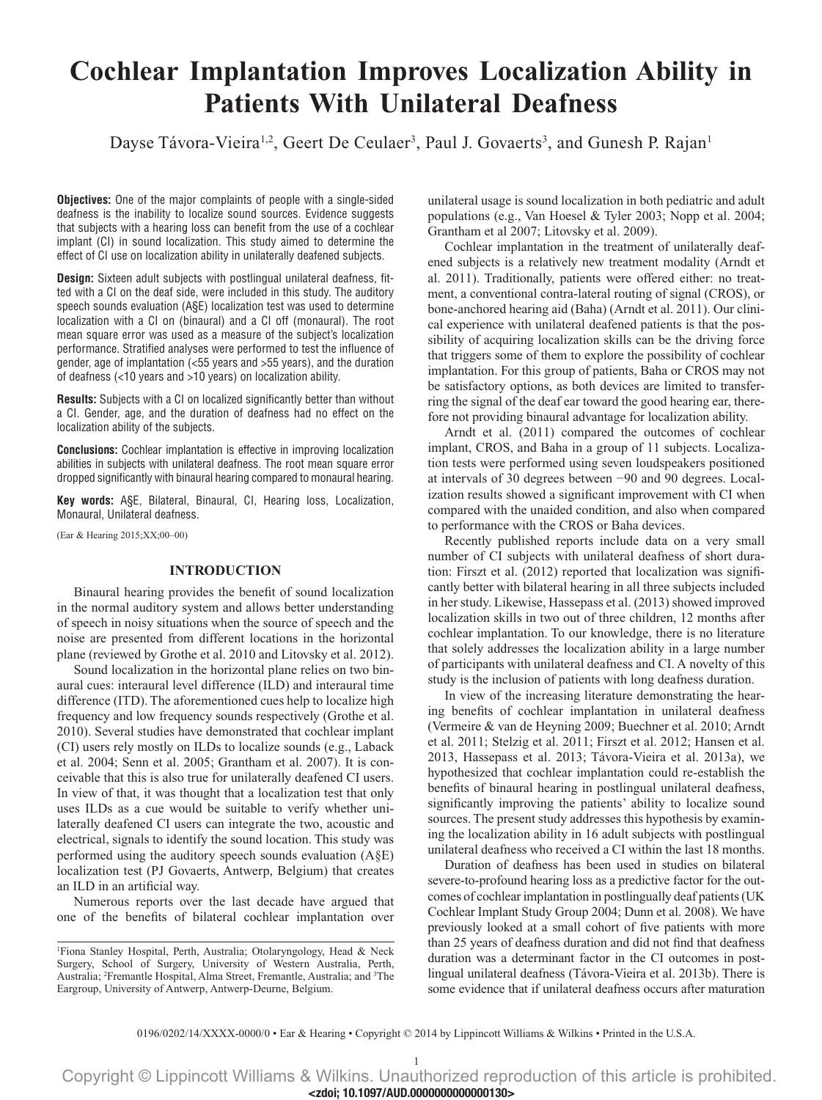# **Cochlear Implantation Improves Localization Ability in Patients With Unilateral Deafness**

Dayse Távora-Vieira<sup>1,2</sup>, Geert De Ceulaer<sup>3</sup>, Paul J. Govaerts<sup>3</sup>, and Gunesh P. Rajan<sup>1</sup>

**Objectives:** One of the major complaints of people with a single-sided deafness is the inability to localize sound sources. Evidence suggests that subjects with a hearing loss can benefit from the use of a cochlear implant (CI) in sound localization. This study aimed to determine the effect of CI use on localization ability in unilaterally deafened subjects.

**Design:** Sixteen adult subjects with postlingual unilateral deafness, fitted with a CI on the deaf side, were included in this study. The auditory speech sounds evaluation (A§E) localization test was used to determine localization with a CI on (binaural) and a CI off (monaural). The root mean square error was used as a measure of the subject's localization performance. Stratified analyses were performed to test the influence of gender, age of implantation (<55 years and >55 years), and the duration of deafness (<10 years and >10 years) on localization ability.

**Results:** Subjects with a CI on localized significantly better than without a CI. Gender, age, and the duration of deafness had no effect on the localization ability of the subjects.

**Conclusions:** Cochlear implantation is effective in improving localization abilities in subjects with unilateral deafness. The root mean square error dropped significantly with binaural hearing compared to monaural hearing.

**Key words:** A§E, Bilateral, Binaural, CI, Hearing loss, Localization, Monaural, Unilateral deafness.

(Ear & Hearing 2015;XX;00–00)

# **INTRODUCTION**

Binaural hearing provides the benefit of sound localization in the normal auditory system and allows better understanding of speech in noisy situations when the source of speech and the noise are presented from different locations in the horizontal plane (reviewed by Grothe et al. 2010 and Litovsky et al. 2012).

Sound localization in the horizontal plane relies on two binaural cues: interaural level difference (ILD) and interaural time difference (ITD). The aforementioned cues help to localize high frequency and low frequency sounds respectively (Grothe et al. 2010). Several studies have demonstrated that cochlear implant (CI) users rely mostly on ILDs to localize sounds (e.g., Laback et al. 2004; Senn et al. 2005; Grantham et al. 2007). It is conceivable that this is also true for unilaterally deafened CI users. In view of that, it was thought that a localization test that only uses ILDs as a cue would be suitable to verify whether unilaterally deafened CI users can integrate the two, acoustic and electrical, signals to identify the sound location. This study was performed using the auditory speech sounds evaluation (A§E) localization test (PJ Govaerts, Antwerp, Belgium) that creates an ILD in an artificial way.

Numerous reports over the last decade have argued that one of the benefits of bilateral cochlear implantation over unilateral usage is sound localization in both pediatric and adult populations (e.g., Van Hoesel & Tyler 2003; Nopp et al. 2004; Grantham et al 2007; Litovsky et al. 2009).

Cochlear implantation in the treatment of unilaterally deafened subjects is a relatively new treatment modality (Arndt et al. 2011). Traditionally, patients were offered either: no treatment, a conventional contra-lateral routing of signal (CROS), or bone-anchored hearing aid (Baha) (Arndt et al. 2011). Our clinical experience with unilateral deafened patients is that the possibility of acquiring localization skills can be the driving force that triggers some of them to explore the possibility of cochlear implantation. For this group of patients, Baha or CROS may not be satisfactory options, as both devices are limited to transferring the signal of the deaf ear toward the good hearing ear, therefore not providing binaural advantage for localization ability.

Arndt et al. (2011) compared the outcomes of cochlear implant, CROS, and Baha in a group of 11 subjects. Localization tests were performed using seven loudspeakers positioned at intervals of 30 degrees between −90 and 90 degrees. Localization results showed a significant improvement with CI when compared with the unaided condition, and also when compared to performance with the CROS or Baha devices.

Recently published reports include data on a very small number of CI subjects with unilateral deafness of short duration: Firszt et al. (2012) reported that localization was significantly better with bilateral hearing in all three subjects included in her study. Likewise, Hassepass et al. (2013) showed improved localization skills in two out of three children, 12 months after cochlear implantation. To our knowledge, there is no literature that solely addresses the localization ability in a large number of participants with unilateral deafness and CI. A novelty of this study is the inclusion of patients with long deafness duration.

In view of the increasing literature demonstrating the hearing benefits of cochlear implantation in unilateral deafness (Vermeire & van de Heyning 2009; Buechner et al. 2010; Arndt et al. 2011; Stelzig et al. 2011; Firszt et al. 2012; Hansen et al. 2013, Hassepass et al. 2013; Távora-Vieira et al. 2013a), we hypothesized that cochlear implantation could re-establish the benefits of binaural hearing in postlingual unilateral deafness, significantly improving the patients' ability to localize sound sources. The present study addresses this hypothesis by examining the localization ability in 16 adult subjects with postlingual unilateral deafness who received a CI within the last 18 months.

Duration of deafness has been used in studies on bilateral severe-to-profound hearing loss as a predictive factor for the outcomes of cochlear implantation in postlingually deaf patients (UK Cochlear Implant Study Group 2004; Dunn et al. 2008). We have previously looked at a small cohort of five patients with more than 25 years of deafness duration and did not find that deafness duration was a determinant factor in the CI outcomes in postlingual unilateral deafness (Távora-Vieira et al. 2013b). There is some evidence that if unilateral deafness occurs after maturation

<sup>1</sup> Fiona Stanley Hospital, Perth, Australia; Otolaryngology, Head & Neck Surgery, School of Surgery, University of Western Australia, Perth, Australia; <sup>2</sup> Fremantle Hospital, Alma Street, Fremantle, Australia; and 3 The Eargroup, University of Antwerp, Antwerp-Deurne, Belgium.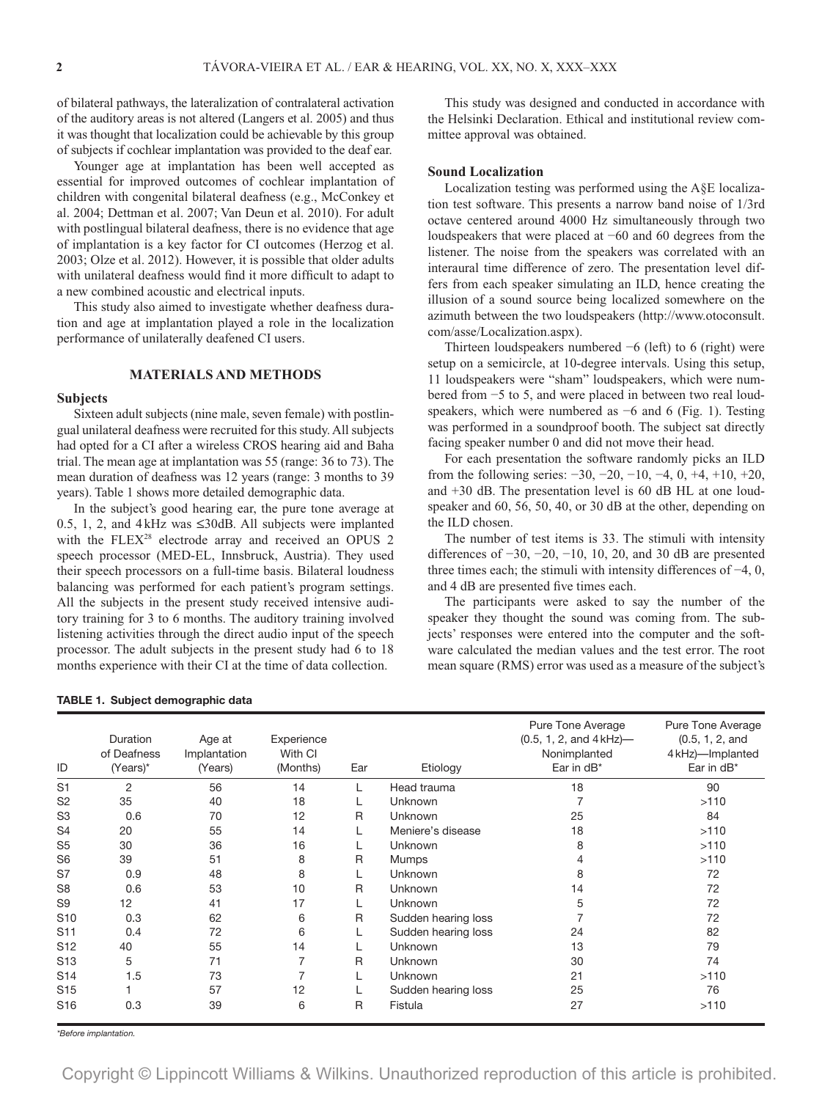of bilateral pathways, the lateralization of contralateral activation of the auditory areas is not altered (Langers et al. 2005) and thus it was thought that localization could be achievable by this group of subjects if cochlear implantation was provided to the deaf ear.

Younger age at implantation has been well accepted as essential for improved outcomes of cochlear implantation of children with congenital bilateral deafness (e.g., McConkey et al. 2004; Dettman et al. 2007; Van Deun et al. 2010). For adult with postlingual bilateral deafness, there is no evidence that age of implantation is a key factor for CI outcomes (Herzog et al. 2003; Olze et al. 2012). However, it is possible that older adults with unilateral deafness would find it more difficult to adapt to a new combined acoustic and electrical inputs.

This study also aimed to investigate whether deafness duration and age at implantation played a role in the localization performance of unilaterally deafened CI users.

## **MATERIALS AND METHODS**

## **Subjects**

Sixteen adult subjects (nine male, seven female) with postlingual unilateral deafness were recruited for this study. All subjects had opted for a CI after a wireless CROS hearing aid and Baha trial. The mean age at implantation was 55 (range: 36 to 73). The mean duration of deafness was 12 years (range: 3 months to 39 years). Table 1 shows more detailed demographic data.

In the subject's good hearing ear, the pure tone average at 0.5, 1, 2, and 4kHz was ≤30dB. All subjects were implanted with the FLEX<sup>28</sup> electrode array and received an OPUS 2 speech processor (MED-EL, Innsbruck, Austria). They used their speech processors on a full-time basis. Bilateral loudness balancing was performed for each patient's program settings. All the subjects in the present study received intensive auditory training for 3 to 6 months. The auditory training involved listening activities through the direct audio input of the speech processor. The adult subjects in the present study had 6 to 18 months experience with their CI at the time of data collection.

This study was designed and conducted in accordance with the Helsinki Declaration. Ethical and institutional review committee approval was obtained.

## **Sound Localization**

Localization testing was performed using the A§E localization test software. This presents a narrow band noise of 1/3rd octave centered around 4000 Hz simultaneously through two loudspeakers that were placed at −60 and 60 degrees from the listener. The noise from the speakers was correlated with an interaural time difference of zero. The presentation level differs from each speaker simulating an ILD, hence creating the illusion of a sound source being localized somewhere on the azimuth between the two loudspeakers ([http://www.otoconsult.](http://www.otoconsult.com/asse/Localization.aspx) [com/asse/Localization.aspx](http://www.otoconsult.com/asse/Localization.aspx)).

Thirteen loudspeakers numbered −6 (left) to 6 (right) were setup on a semicircle, at 10-degree intervals. Using this setup, 11 loudspeakers were "sham" loudspeakers, which were numbered from −5 to 5, and were placed in between two real loudspeakers, which were numbered as −6 and 6 (Fig. 1). Testing was performed in a soundproof booth. The subject sat directly facing speaker number 0 and did not move their head.

For each presentation the software randomly picks an ILD from the following series:  $-30, -20, -10, -4, 0, +4, +10, +20,$ and +30 dB. The presentation level is 60 dB HL at one loudspeaker and 60, 56, 50, 40, or 30 dB at the other, depending on the ILD chosen.

The number of test items is 33. The stimuli with intensity differences of  $-30$ ,  $-20$ ,  $-10$ , 10, 20, and 30 dB are presented three times each; the stimuli with intensity differences of −4, 0, and 4 dB are presented five times each.

The participants were asked to say the number of the speaker they thought the sound was coming from. The subjects' responses were entered into the computer and the software calculated the median values and the test error. The root mean square (RMS) error was used as a measure of the subject's

|  |  | TABLE 1. Subject demographic data |  |
|--|--|-----------------------------------|--|
|--|--|-----------------------------------|--|

| ID              | Duration<br>of Deafness<br>$(Years)^*$ | Age at<br>Implantation<br>(Years) | Experience<br>With CI<br>(Months) | Ear | Etiology            | Pure Tone Average<br>$(0.5, 1, 2, and 4 kHz)$ —<br>Nonimplanted<br>Ear in dB* | Pure Tone Average<br>(0.5, 1, 2, and)<br>4 kHz)-Implanted<br>Ear in dB* |
|-----------------|----------------------------------------|-----------------------------------|-----------------------------------|-----|---------------------|-------------------------------------------------------------------------------|-------------------------------------------------------------------------|
| S <sub>1</sub>  | 2                                      | 56                                | 14                                |     | Head trauma         | 18                                                                            | 90                                                                      |
| S <sub>2</sub>  | 35                                     | 40                                | 18                                |     | Unknown             |                                                                               | >110                                                                    |
| S <sub>3</sub>  | 0.6                                    | 70                                | 12                                | R   | <b>Unknown</b>      | 25                                                                            | 84                                                                      |
| S <sub>4</sub>  | 20                                     | 55                                | 14                                |     | Meniere's disease   | 18                                                                            | >110                                                                    |
| S <sub>5</sub>  | 30                                     | 36                                | 16                                |     | <b>Unknown</b>      | 8                                                                             | >110                                                                    |
| S <sub>6</sub>  | 39                                     | 51                                | 8                                 | R   | <b>Mumps</b>        |                                                                               | >110                                                                    |
| S7              | 0.9                                    | 48                                | 8                                 |     | Unknown             | 8                                                                             | 72                                                                      |
| S <sub>8</sub>  | 0.6                                    | 53                                | 10                                | R   | <b>Unknown</b>      | 14                                                                            | 72                                                                      |
| S9              | 12                                     | 41                                | 17                                |     | Unknown             | 5                                                                             | 72                                                                      |
| S <sub>10</sub> | 0.3                                    | 62                                | 6                                 | R   | Sudden hearing loss |                                                                               | 72                                                                      |
| S <sub>11</sub> | 0.4                                    | 72                                | 6                                 |     | Sudden hearing loss | 24                                                                            | 82                                                                      |
| S <sub>12</sub> | 40                                     | 55                                | 14                                |     | Unknown             | 13                                                                            | 79                                                                      |
| S <sub>13</sub> | 5                                      | 71                                | 7                                 | R   | Unknown             | 30                                                                            | 74                                                                      |
| S <sub>14</sub> | 1.5                                    | 73                                |                                   |     | Unknown             | 21                                                                            | >110                                                                    |
| S <sub>15</sub> |                                        | 57                                | 12                                |     | Sudden hearing loss | 25                                                                            | 76                                                                      |
| S <sub>16</sub> | 0.3                                    | 39                                | 6                                 | R   | Fistula             | 27                                                                            | >110                                                                    |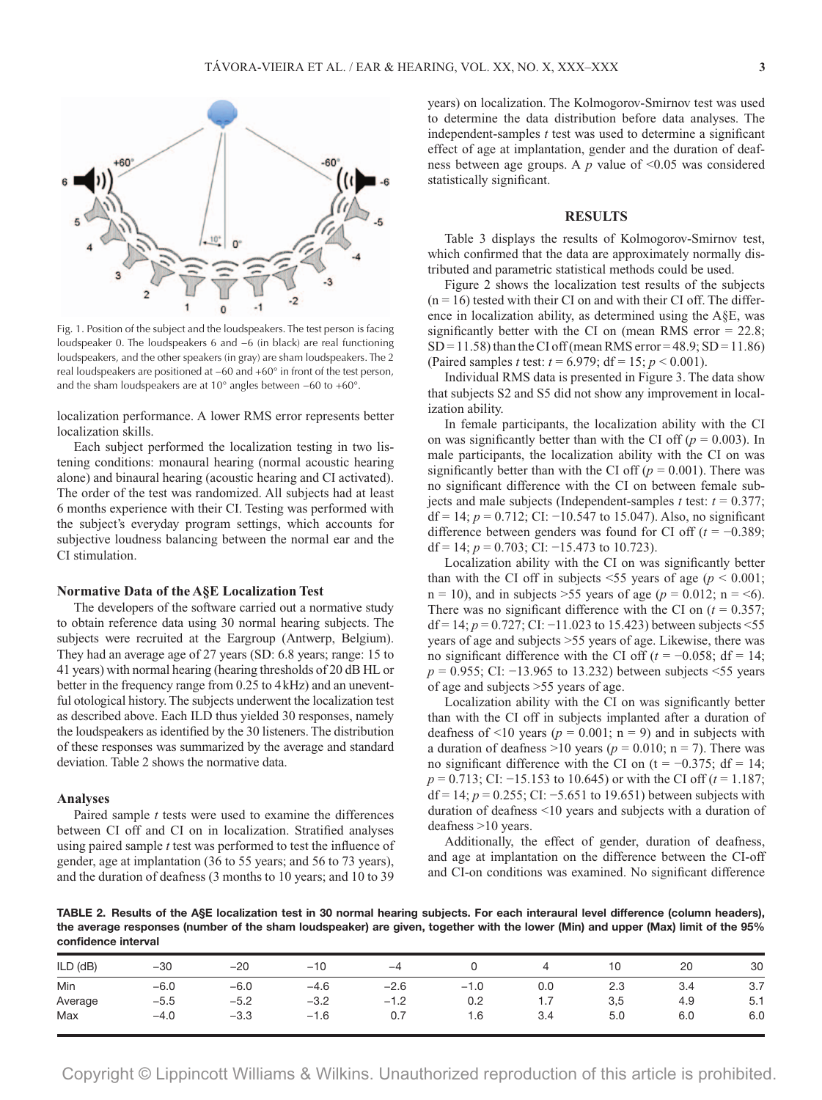

Fig. 1. Position of the subject and the loudspeakers. The test person is facing loudspeaker 0. The loudspeakers 6 and −6 (in black) are real functioning loudspeakers, and the other speakers (in gray) are sham loudspeakers. The 2 real loudspeakers are positioned at −60 and +60° in front of the test person, and the sham loudspeakers are at 10° angles between −60 to +60°.

localization performance. A lower RMS error represents better localization skills.

Each subject performed the localization testing in two listening conditions: monaural hearing (normal acoustic hearing alone) and binaural hearing (acoustic hearing and CI activated). The order of the test was randomized. All subjects had at least 6 months experience with their CI. Testing was performed with the subject's everyday program settings, which accounts for subjective loudness balancing between the normal ear and the CI stimulation.

#### **Normative Data of the A§E Localization Test**

The developers of the software carried out a normative study to obtain reference data using 30 normal hearing subjects. The subjects were recruited at the Eargroup (Antwerp, Belgium). They had an average age of 27 years (SD: 6.8 years; range: 15 to 41 years) with normal hearing (hearing thresholds of 20 dB HL or better in the frequency range from 0.25 to 4kHz) and an uneventful otological history. The subjects underwent the localization test as described above. Each ILD thus yielded 30 responses, namely the loudspeakers as identified by the 30 listeners. The distribution of these responses was summarized by the average and standard deviation. Table 2 shows the normative data.

#### **Analyses**

Paired sample *t* tests were used to examine the differences between CI off and CI on in localization. Stratified analyses using paired sample *t* test was performed to test the influence of gender, age at implantation (36 to 55 years; and 56 to 73 years), and the duration of deafness (3 months to 10 years; and 10 to 39

years) on localization. The Kolmogorov-Smirnov test was used to determine the data distribution before data analyses. The independent-samples *t* test was used to determine a significant effect of age at implantation, gender and the duration of deafness between age groups. A *p* value of <0.05 was considered statistically significant.

#### **RESULTS**

Table 3 displays the results of Kolmogorov-Smirnov test, which confirmed that the data are approximately normally distributed and parametric statistical methods could be used.

Figure 2 shows the localization test results of the subjects  $(n = 16)$  tested with their CI on and with their CI off. The difference in localization ability, as determined using the A§E, was significantly better with the CI on (mean RMS error = 22.8;  $SD = 11.58$ ) than the CI off (mean RMS error = 48.9;  $SD = 11.86$ ) (Paired samples *t* test: *t* = 6.979; df = 15; *p* < 0.001).

Individual RMS data is presented in Figure 3. The data show that subjects S2 and S5 did not show any improvement in localization ability.

In female participants, the localization ability with the CI on was significantly better than with the CI off  $(p = 0.003)$ . In male participants, the localization ability with the CI on was significantly better than with the CI off  $(p = 0.001)$ . There was no significant difference with the CI on between female subjects and male subjects (Independent-samples  $t$  test:  $t = 0.377$ ; df = 14; *p* = 0.712; CI: −10.547 to 15.047). Also, no significant difference between genders was found for CI off  $(t = -0.389)$ ; df = 14;  $p = 0.703$ ; CI:  $-15.473$  to 10.723).

Localization ability with the CI on was significantly better than with the CI off in subjects  $\leq 55$  years of age ( $p \leq 0.001$ ;  $n = 10$ ), and in subjects > 55 years of age ( $p = 0.012$ ;  $n = 6$ ). There was no significant difference with the CI on  $(t = 0.357)$ ; df = 14;  $p = 0.727$ ; CI:  $-11.023$  to 15.423) between subjects <55 years of age and subjects >55 years of age. Likewise, there was no significant difference with the CI off  $(t = -0.058$ ; df = 14; *p* = 0.955; CI: −13.965 to 13.232) between subjects <55 years of age and subjects >55 years of age.

Localization ability with the CI on was significantly better than with the CI off in subjects implanted after a duration of deafness of  $\leq 10$  years ( $p = 0.001$ ; n = 9) and in subjects with a duration of deafness  $>10$  years ( $p = 0.010$ ; n = 7). There was no significant difference with the CI on (t =  $-0.375$ ; df = 14; *p* = 0.713; CI: −15.153 to 10.645) or with the CI off (*t* = 1.187; df = 14; *p* = 0.255; CI: −5.651 to 19.651) between subjects with duration of deafness <10 years and subjects with a duration of deafness >10 years.

Additionally, the effect of gender, duration of deafness, and age at implantation on the difference between the CI-off and CI-on conditions was examined. No significant difference

**Table 2. Results of the A§E localization test in 30 normal hearing subjects. For each interaural level difference (column headers), the average responses (number of the sham loudspeaker) are given, together with the lower (Min) and upper (Max) limit of the 95% confidence interval**

| $ILD$ ( $dB$ ) | $-30$  | $-20$  | $-10$  | $-\angle$ |        |     |     | 20  | 30  |
|----------------|--------|--------|--------|-----------|--------|-----|-----|-----|-----|
| Min            | $-6.0$ | $-6.0$ | $-4.6$ | $-2.6$    | $-1.0$ | 0.0 | 2.3 | 3.4 | 3.7 |
| Average        | $-5.5$ | $-5.2$ | $-3.2$ | $-1.2$    | 0.2    | 1.7 | 3,5 | 4.9 | 5.1 |
| Max            | $-4.0$ | $-3.3$ | $-1.6$ | 0.7       | 6.۱    | 3.4 | 5.0 | 6.0 | 6.0 |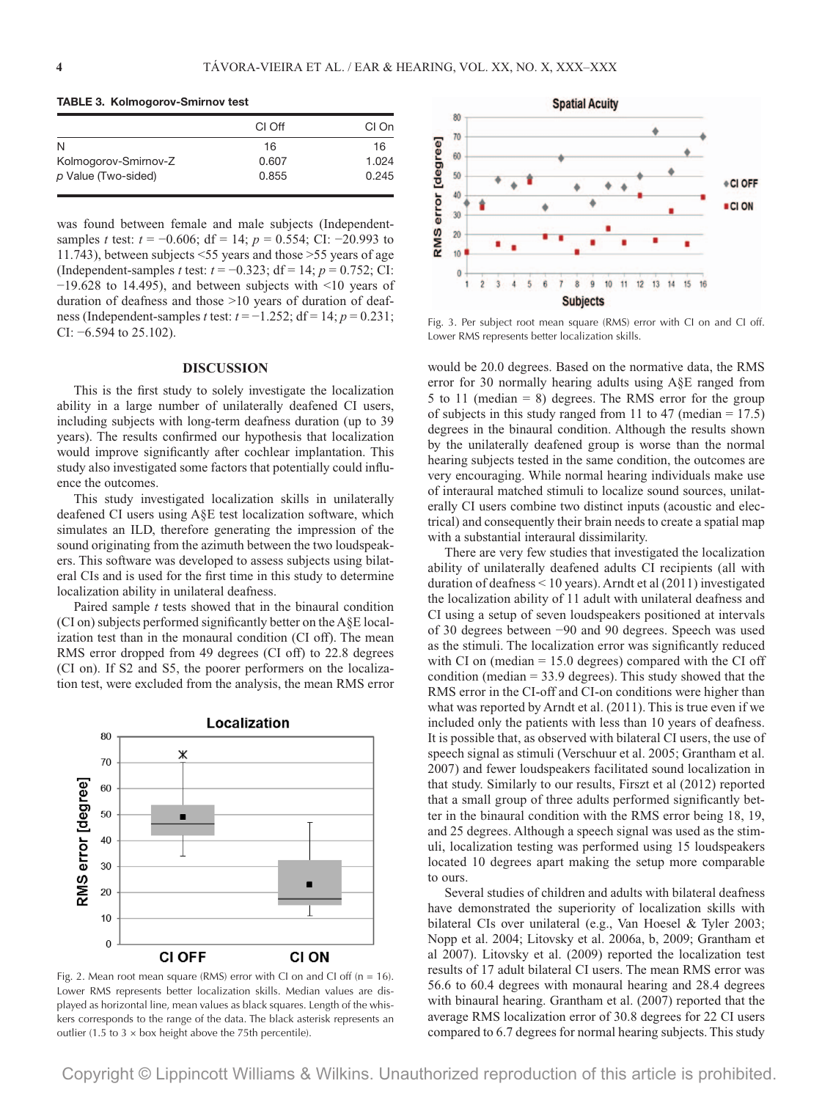|                      | CI Off | CI On |
|----------------------|--------|-------|
| N                    | 16     | 16    |
| Kolmogorov-Smirnov-Z | 0.607  | 1.024 |
| p Value (Two-sided)  | 0.855  | 0.245 |

**Table 3. Kolmogorov-Smirnov test**

was found between female and male subjects (Independentsamples *t* test: *t* = −0.606; df = 14; *p* = 0.554; CI: −20.993 to 11.743), between subjects <55 years and those >55 years of age (Independent-samples *t* test: *t* = −0.323; df = 14; *p* = 0.752; CI: −19.628 to 14.495), and between subjects with <10 years of duration of deafness and those >10 years of duration of deafness (Independent-samples *t* test: *t* = −1.252; df = 14; *p* = 0.231; CI: −6.594 to 25.102).

### **DISCUSSION**

This is the first study to solely investigate the localization ability in a large number of unilaterally deafened CI users, including subjects with long-term deafness duration (up to 39 years). The results confirmed our hypothesis that localization would improve significantly after cochlear implantation. This study also investigated some factors that potentially could influence the outcomes.

This study investigated localization skills in unilaterally deafened CI users using A§E test localization software, which simulates an ILD, therefore generating the impression of the sound originating from the azimuth between the two loudspeakers. This software was developed to assess subjects using bilateral CIs and is used for the first time in this study to determine localization ability in unilateral deafness.

Paired sample *t* tests showed that in the binaural condition (CI on) subjects performed significantly better on the A§E localization test than in the monaural condition (CI off). The mean RMS error dropped from 49 degrees (CI off) to 22.8 degrees (CI on). If S2 and S5, the poorer performers on the localization test, were excluded from the analysis, the mean RMS error



Fig. 2. Mean root mean square (RMS) error with CI on and CI off ( $n = 16$ ). Lower RMS represents better localization skills. Median values are displayed as horizontal line, mean values as black squares. Length of the whiskers corresponds to the range of the data. The black asterisk represents an outlier (1.5 to 3  $\times$  box height above the 75th percentile).



Fig. 3. Per subject root mean square (RMS) error with CI on and CI off. Lower RMS represents better localization skills.

would be 20.0 degrees. Based on the normative data, the RMS error for 30 normally hearing adults using A§E ranged from 5 to 11 (median = 8) degrees. The RMS error for the group of subjects in this study ranged from 11 to 47 (median  $= 17.5$ ) degrees in the binaural condition. Although the results shown by the unilaterally deafened group is worse than the normal hearing subjects tested in the same condition, the outcomes are very encouraging. While normal hearing individuals make use of interaural matched stimuli to localize sound sources, unilaterally CI users combine two distinct inputs (acoustic and electrical) and consequently their brain needs to create a spatial map with a substantial interaural dissimilarity.

There are very few studies that investigated the localization ability of unilaterally deafened adults CI recipients (all with duration of deafness < 10 years). Arndt et al (2011) investigated the localization ability of 11 adult with unilateral deafness and CI using a setup of seven loudspeakers positioned at intervals of 30 degrees between −90 and 90 degrees. Speech was used as the stimuli. The localization error was significantly reduced with CI on (median = 15.0 degrees) compared with the CI off condition (median = 33.9 degrees). This study showed that the RMS error in the CI-off and CI-on conditions were higher than what was reported by Arndt et al. (2011). This is true even if we included only the patients with less than 10 years of deafness. It is possible that, as observed with bilateral CI users, the use of speech signal as stimuli (Verschuur et al. 2005; Grantham et al. 2007) and fewer loudspeakers facilitated sound localization in that study. Similarly to our results, Firszt et al (2012) reported that a small group of three adults performed significantly better in the binaural condition with the RMS error being 18, 19, and 25 degrees. Although a speech signal was used as the stimuli, localization testing was performed using 15 loudspeakers located 10 degrees apart making the setup more comparable to ours.

Several studies of children and adults with bilateral deafness have demonstrated the superiority of localization skills with bilateral CIs over unilateral (e.g., Van Hoesel & Tyler 2003; Nopp et al. 2004; Litovsky et al. 2006a, b, 2009; Grantham et al 2007). Litovsky et al. (2009) reported the localization test results of 17 adult bilateral CI users. The mean RMS error was 56.6 to 60.4 degrees with monaural hearing and 28.4 degrees with binaural hearing. Grantham et al. (2007) reported that the average RMS localization error of 30.8 degrees for 22 CI users compared to 6.7 degrees for normal hearing subjects. This study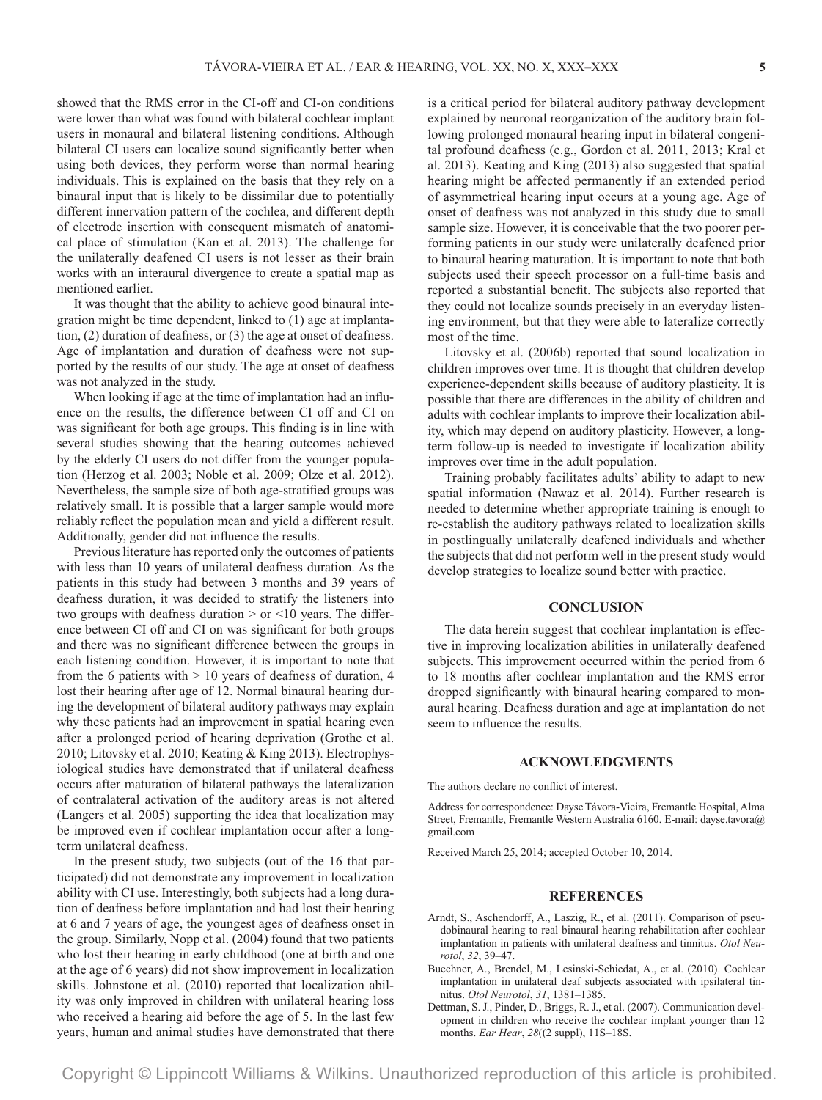showed that the RMS error in the CI-off and CI-on conditions were lower than what was found with bilateral cochlear implant users in monaural and bilateral listening conditions. Although bilateral CI users can localize sound significantly better when using both devices, they perform worse than normal hearing individuals. This is explained on the basis that they rely on a binaural input that is likely to be dissimilar due to potentially different innervation pattern of the cochlea, and different depth of electrode insertion with consequent mismatch of anatomical place of stimulation (Kan et al. 2013). The challenge for the unilaterally deafened CI users is not lesser as their brain works with an interaural divergence to create a spatial map as mentioned earlier.

It was thought that the ability to achieve good binaural integration might be time dependent, linked to (1) age at implantation, (2) duration of deafness, or (3) the age at onset of deafness. Age of implantation and duration of deafness were not supported by the results of our study. The age at onset of deafness was not analyzed in the study.

When looking if age at the time of implantation had an influence on the results, the difference between CI off and CI on was significant for both age groups. This finding is in line with several studies showing that the hearing outcomes achieved by the elderly CI users do not differ from the younger population (Herzog et al. 2003; Noble et al. 2009; Olze et al. 2012). Nevertheless, the sample size of both age-stratified groups was relatively small. It is possible that a larger sample would more reliably reflect the population mean and yield a different result. Additionally, gender did not influence the results.

Previous literature has reported only the outcomes of patients with less than 10 years of unilateral deafness duration. As the patients in this study had between 3 months and 39 years of deafness duration, it was decided to stratify the listeners into two groups with deafness duration  $>$  or  $\leq$ 10 years. The difference between CI off and CI on was significant for both groups and there was no significant difference between the groups in each listening condition. However, it is important to note that from the 6 patients with  $> 10$  years of deafness of duration, 4 lost their hearing after age of 12. Normal binaural hearing during the development of bilateral auditory pathways may explain why these patients had an improvement in spatial hearing even after a prolonged period of hearing deprivation (Grothe et al. 2010; Litovsky et al. 2010; Keating & King 2013). Electrophysiological studies have demonstrated that if unilateral deafness occurs after maturation of bilateral pathways the lateralization of contralateral activation of the auditory areas is not altered (Langers et al. 2005) supporting the idea that localization may be improved even if cochlear implantation occur after a longterm unilateral deafness.

In the present study, two subjects (out of the 16 that participated) did not demonstrate any improvement in localization ability with CI use. Interestingly, both subjects had a long duration of deafness before implantation and had lost their hearing at 6 and 7 years of age, the youngest ages of deafness onset in the group. Similarly, Nopp et al. (2004) found that two patients who lost their hearing in early childhood (one at birth and one at the age of 6 years) did not show improvement in localization skills. Johnstone et al. (2010) reported that localization ability was only improved in children with unilateral hearing loss who received a hearing aid before the age of 5. In the last few years, human and animal studies have demonstrated that there

is a critical period for bilateral auditory pathway development explained by neuronal reorganization of the auditory brain following prolonged monaural hearing input in bilateral congenital profound deafness (e.g., Gordon et al. 2011, 2013; Kral et al. 2013). Keating and King (2013) also suggested that spatial hearing might be affected permanently if an extended period of asymmetrical hearing input occurs at a young age. Age of onset of deafness was not analyzed in this study due to small sample size. However, it is conceivable that the two poorer performing patients in our study were unilaterally deafened prior to binaural hearing maturation. It is important to note that both subjects used their speech processor on a full-time basis and reported a substantial benefit. The subjects also reported that they could not localize sounds precisely in an everyday listening environment, but that they were able to lateralize correctly most of the time.

Litovsky et al. (2006b) reported that sound localization in children improves over time. It is thought that children develop experience-dependent skills because of auditory plasticity. It is possible that there are differences in the ability of children and adults with cochlear implants to improve their localization ability, which may depend on auditory plasticity. However, a longterm follow-up is needed to investigate if localization ability improves over time in the adult population.

Training probably facilitates adults' ability to adapt to new spatial information (Nawaz et al. 2014). Further research is needed to determine whether appropriate training is enough to re-establish the auditory pathways related to localization skills in postlingually unilaterally deafened individuals and whether the subjects that did not perform well in the present study would develop strategies to localize sound better with practice.

## **CONCLUSION**

The data herein suggest that cochlear implantation is effective in improving localization abilities in unilaterally deafened subjects. This improvement occurred within the period from 6 to 18 months after cochlear implantation and the RMS error dropped significantly with binaural hearing compared to monaural hearing. Deafness duration and age at implantation do not seem to influence the results.

## **ACKNOWLEDGMENTS**

The authors declare no conflict of interest.

Address for correspondence: Dayse Távora-Vieira, Fremantle Hospital, Alma Street, Fremantle, Fremantle Western Australia 6160. E-mail: [dayse.tavora@](http://dayse.tavora@gmail.com) [gmail.com](http://dayse.tavora@gmail.com)

Received March 25, 2014; accepted October 10, 2014.

#### **REFERENCES**

- Arndt, S., Aschendorff, A., Laszig, R., et al. (2011). Comparison of pseudobinaural hearing to real binaural hearing rehabilitation after cochlear implantation in patients with unilateral deafness and tinnitus. *Otol Neurotol*, *32*, 39–47.
- Buechner, A., Brendel, M., Lesinski-Schiedat, A., et al. (2010). Cochlear implantation in unilateral deaf subjects associated with ipsilateral tinnitus. *Otol Neurotol*, *31*, 1381–1385.
- Dettman, S. J., Pinder, D., Briggs, R. J., et al. (2007). Communication development in children who receive the cochlear implant younger than 12 months. *Ear Hear*, *28*((2 suppl), 11S–18S.